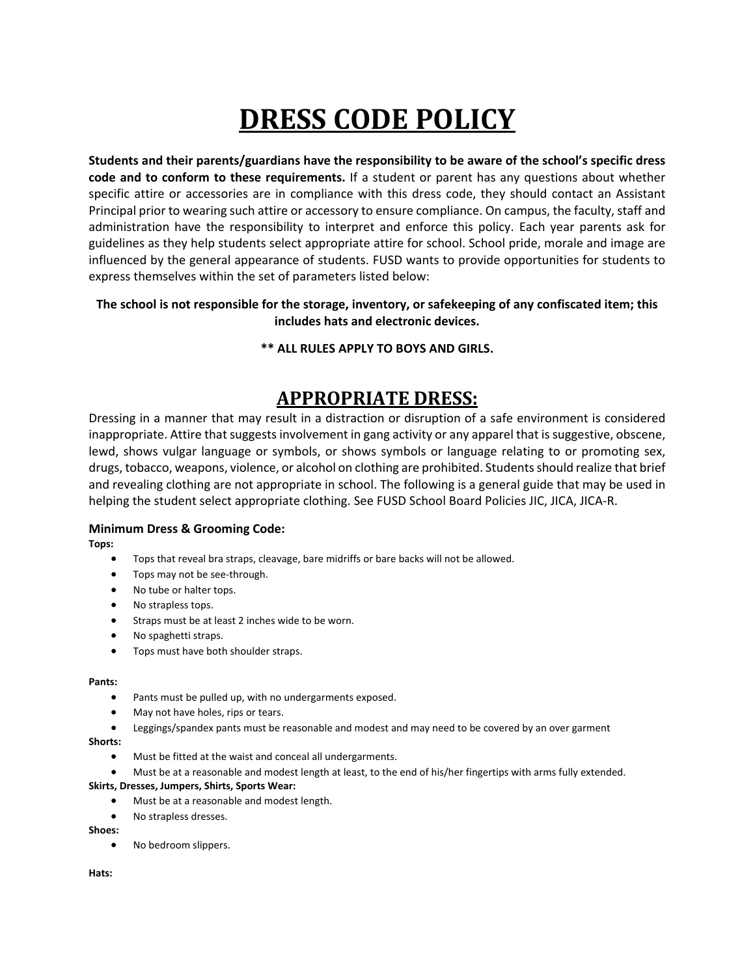# **DRESS CODE POLICY**

**Students and their parents/guardians have the responsibility to be aware of the school's specific dress code and to conform to these requirements.** If a student or parent has any questions about whether specific attire or accessories are in compliance with this dress code, they should contact an Assistant Principal prior to wearing such attire or accessory to ensure compliance. On campus, the faculty, staff and administration have the responsibility to interpret and enforce this policy. Each year parents ask for guidelines as they help students select appropriate attire for school. School pride, morale and image are influenced by the general appearance of students. FUSD wants to provide opportunities for students to express themselves within the set of parameters listed below:

# **The school is not responsible for the storage, inventory, or safekeeping of any confiscated item; this includes hats and electronic devices.**

# **\*\* ALL RULES APPLY TO BOYS AND GIRLS.**

# **APPROPRIATE DRESS:**

Dressing in a manner that may result in a distraction or disruption of a safe environment is considered inappropriate. Attire that suggests involvement in gang activity or any apparel that is suggestive, obscene, lewd, shows vulgar language or symbols, or shows symbols or language relating to or promoting sex, drugs, tobacco, weapons, violence, or alcohol on clothing are prohibited. Students should realize that brief and revealing clothing are not appropriate in school. The following is a general guide that may be used in helping the student select appropriate clothing. See FUSD School Board Policies JIC, JICA, JICA‐R.

### **Minimum Dress & Grooming Code:**

**Tops:** 

- Tops that reveal bra straps, cleavage, bare midriffs or bare backs will not be allowed.
- Tops may not be see-through.
- No tube or halter tops.
- No strapless tops.
- **•** Straps must be at least 2 inches wide to be worn.
- No spaghetti straps.
- Tops must have both shoulder straps.

#### **Pants:**

- Pants must be pulled up, with no undergarments exposed.
- May not have holes, rips or tears.
- Leggings/spandex pants must be reasonable and modest and may need to be covered by an over garment

#### **Shorts:**

- Must be fitted at the waist and conceal all undergarments.
- Must be at a reasonable and modest length at least, to the end of his/her fingertips with arms fully extended.

#### **Skirts, Dresses, Jumpers, Shirts, Sports Wear:**

- Must be at a reasonable and modest length.
- No strapless dresses.

**Shoes:** 

No bedroom slippers.

**Hats:**